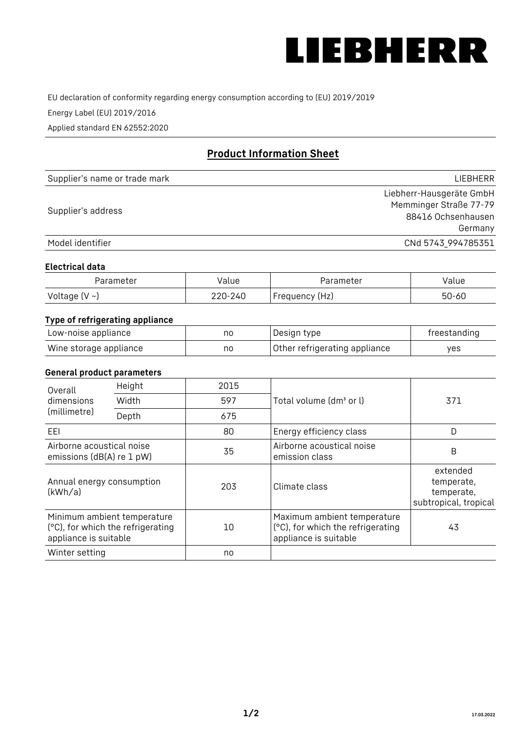

EU declaration of conformity regarding energy consumption according to (EU) 2019/2019

Energy Label (EU) 2019/2016

Applied standard EN 62552:2020

# **Product Information Sheet**

| Supplier's name or trade mark | <b>LIFBHFRR</b>          |
|-------------------------------|--------------------------|
|                               | Liebherr-Hausgeräte GmbH |
| Supplier's address            | Memminger Straße 77-79   |
|                               | 88416 Ochsenhausen       |
|                               | Germany                  |
| Model identifier              | CNd 5743 994785351       |

#### **Electrical data**

| Parameter     | Value         | Parameter      | alue ' |
|---------------|---------------|----------------|--------|
| Voltage (V ~) | 220-:<br>-24C | Frequency (Hz) | 50-60  |

# **Type of refrigerating appliance**

| Low-noise appliance    | nc | Design type                   | freestanding |
|------------------------|----|-------------------------------|--------------|
| Wine storage appliance | no | Other refrigerating appliance | ves          |

### **General product parameters**

| Height<br>Overall<br>dimensions<br>Width<br>(millimetre)<br>Depth |                                                                  | 2015 |                                                                                           | 371                                                           |
|-------------------------------------------------------------------|------------------------------------------------------------------|------|-------------------------------------------------------------------------------------------|---------------------------------------------------------------|
|                                                                   |                                                                  | 597  | Total volume (dm <sup>3</sup> or l)                                                       |                                                               |
|                                                                   |                                                                  | 675  |                                                                                           |                                                               |
| EEL                                                               |                                                                  | 80   | Energy efficiency class                                                                   | D                                                             |
| Airborne acoustical noise<br>emissions (dB(A) re 1 pW)            |                                                                  | 35   | Airborne acoustical noise<br>emission class                                               | B                                                             |
| Annual energy consumption<br>(kWh/a)                              |                                                                  | 203  | Climate class                                                                             | extended<br>temperate,<br>temperate,<br>subtropical, tropical |
| appliance is suitable                                             | Minimum ambient temperature<br>(°C), for which the refrigerating | 10   | Maximum ambient temperature<br>(°C), for which the refrigerating<br>appliance is suitable | 43                                                            |
| Winter setting                                                    |                                                                  | no   |                                                                                           |                                                               |